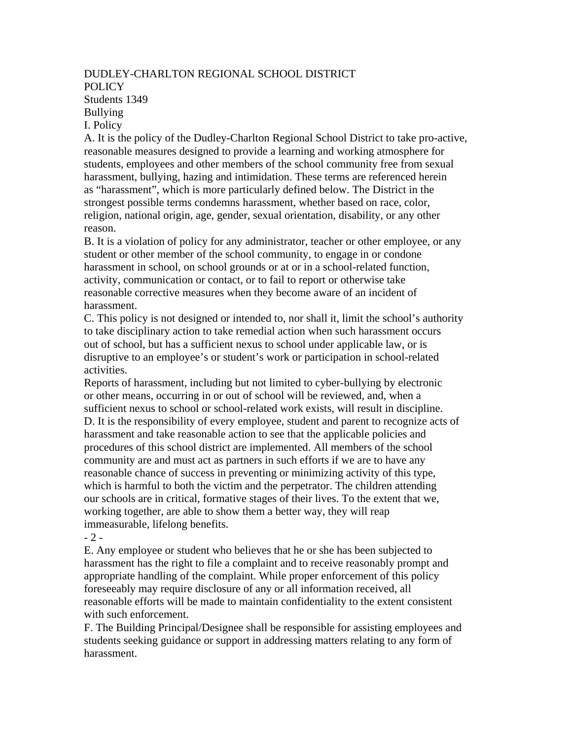## DUDLEY-CHARLTON REGIONAL SCHOOL DISTRICT POLICY Students 1349 Bullying I. Policy

A. It is the policy of the Dudley-Charlton Regional School District to take pro-active, reasonable measures designed to provide a learning and working atmosphere for students, employees and other members of the school community free from sexual harassment, bullying, hazing and intimidation. These terms are referenced herein as "harassment", which is more particularly defined below. The District in the strongest possible terms condemns harassment, whether based on race, color, religion, national origin, age, gender, sexual orientation, disability, or any other reason.

B. It is a violation of policy for any administrator, teacher or other employee, or any student or other member of the school community, to engage in or condone harassment in school, on school grounds or at or in a school-related function, activity, communication or contact, or to fail to report or otherwise take reasonable corrective measures when they become aware of an incident of harassment.

C. This policy is not designed or intended to, nor shall it, limit the school's authority to take disciplinary action to take remedial action when such harassment occurs out of school, but has a sufficient nexus to school under applicable law, or is disruptive to an employee's or student's work or participation in school-related activities.

Reports of harassment, including but not limited to cyber-bullying by electronic or other means, occurring in or out of school will be reviewed, and, when a sufficient nexus to school or school-related work exists, will result in discipline. D. It is the responsibility of every employee, student and parent to recognize acts of harassment and take reasonable action to see that the applicable policies and procedures of this school district are implemented. All members of the school community are and must act as partners in such efforts if we are to have any reasonable chance of success in preventing or minimizing activity of this type, which is harmful to both the victim and the perpetrator. The children attending our schools are in critical, formative stages of their lives. To the extent that we, working together, are able to show them a better way, they will reap immeasurable, lifelong benefits.

- 2 -

E. Any employee or student who believes that he or she has been subjected to harassment has the right to file a complaint and to receive reasonably prompt and appropriate handling of the complaint. While proper enforcement of this policy foreseeably may require disclosure of any or all information received, all reasonable efforts will be made to maintain confidentiality to the extent consistent with such enforcement.

F. The Building Principal/Designee shall be responsible for assisting employees and students seeking guidance or support in addressing matters relating to any form of harassment.